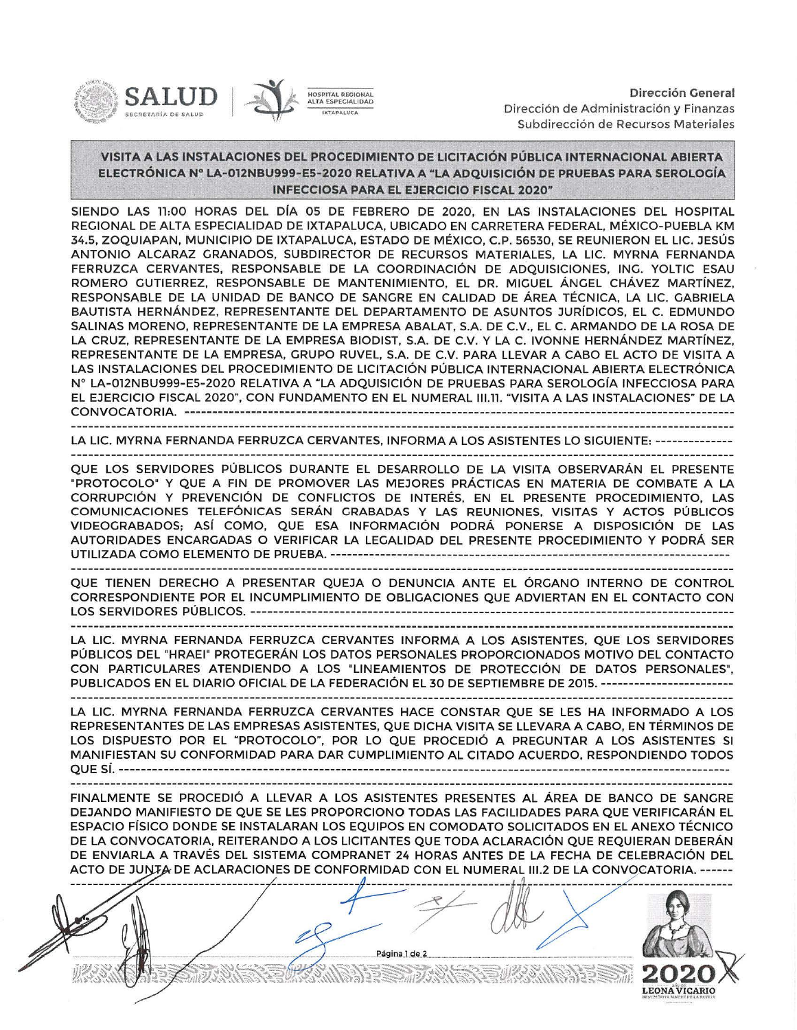

Dirección General Dirección de Administración y Finanzas Subdirección de Recursos Materiales

 $\nabla$ 

## VISITA A LAS INSTALACIONES DEL PROCEDIMIENTO DE LICITACIÓN PÚBLICA INTERNACIONAL ABIERTA ELECTRÓNICA Nº LA-012NBU999-ES-2020 RELATIVA A "LA ADQUISICIÓN DE PRUEBAS PARA SEROLOGÍA INFECCIOSA PARA EL EJERCICIO FISCAL 2020"

SIENDO LAS 11:00 HORAS DEL DÍA 05 DE FEBRERO DE 2020, EN LAS INSTALACIONES DEL HOSPITAL REGIONAL DE ALTA ESPECIALIDAD DE IXTAPALUCA, UBICADO EN CARRETERA FEDERAL, MÉXICO-PUEBLA KM 34.5, ZOQUIAPAN, MUNICIPIO DE IXTAPALUCA, ESTADO DE MÉXICO, C.P. 56530 , SE REUNIERON EL LIC. JESÚS ANTONIO ALCARAZ GRANADOS, SUBDIRECTOR DE RECURSOS MATERIALES, LA LIC. MYRNA FERNANDA FERRUZCA CERVANTES, RESPONSABLE DE LA COORDINACIÓN DE ADQUISICIONES, ING. YOLTIC ESAU ROMERO GUTIERREZ, RESPONSABLE DE MANTENIMIENTO, EL DR. MIGUEL ÁNGEL CHÁVEZ MARTÍNEZ, RESPONSABLE DE LA UNIDAD DE BANCO DE SANGRE EN CALIDAD DE ÁREA TÉCNICA, LA LIC. GABRIELA BAUTISTA HERNÁNDEZ, REPRESENTANTE DEL DEPARTAMENTO DE ASUNTOS JURÍDICOS, EL C. EDMUNDO SALINAS MORENO, REPRESENTANTE DE LA EMPRESA ABALAT, S.A. DE C.V., EL C. ARMANDO DE LA ROSA DE LA CRUZ, REPRESENTANTE DE LA EMPRESA BIODIST, S.A. DE C.V. Y LA C. IVONNE HERNÁNDEZ MARTÍNEZ, REPRESENTANTE DE LA EMPRESA, GRUPO RUVEL, S.A. DE C.V. PARA LLEVAR A CABO EL ACTO DE VISITA A LAS INSTALACIONES DEL PROCEDIMIENTO DE LICITACIÓN PÚBLICA INTERNACIONAL ABIERTA ELECTRÓNICA Nº LA-Ol2NBU999- E5-2020 RELATIVA A "LA ADQUISICIÓN DE PRUEBAS PARA SEROLOGÍA INFECCIOSA PARA EL EJERCICIO FISCAL 2020", CON FUNDAMENTO EN EL NUMERAL 111.11 . "VISITA A LAS INSTALACIONES" DE LA CONVOCATORIA. ---- ------ --- - - - - - -- - - -- --- ----------- --------- - - ---- ----- - - - - - ------- - - - --- - - -- - - - ---- - - - - --------

LA LIC. MYRNA FERNANDA FERRUZCA CERVANTES, INFORMA A LOS ASISTENTES LO SIGUIENTE:--------------

QUE LOS SERVIDORES PÚBLICOS DURANTE EL DESARROLLO DE LA VISITA OBSERVARÁN EL PRESENTE "PROTOCOLO" Y QUE A FIN DE PROMOVER LAS MEJORES PRÁCTICAS EN MATERIA DE COMBATE A LA CORRUPCIÓN Y PREVENCIÓN DE CONFLICTOS DE INTERÉS, EN EL PRESENTE PROCEDIMIENTO, LAS COMUNICACIONES TELEFÓNICAS SERÁN GRABADAS Y LAS REUNIONES, VISITAS Y ACTOS PÚBLICOS VIDEOGRABADOS; ASÍ COMO, QUE ESA INFORMACIÓN PODRÁ PONERSE A DISPOSICIÓN DE LAS AUTORIDADES ENCARGADAS O VERIFICAR LA LEGALIDAD DEL PRESENTE PROCEDIMIENTO Y PODRÁ SER UTILIZADA COMO ELEMENTO DE PRUEBA.------------------------------------------------------------------------

QUE TIENEN DERECHO A PRESENTAR QUEJA O DENUNCIA ANTE EL ÓRGANO INTERNO DE CONTROL CORRESPONDIENTE POR EL INCUMPLIMIENTO DE OBLIGACIONES QUE ADVIERTAN EN EL CONTACTO CON LOS SERVIDORES PÚBLICOS. ---------------------------------------------------------------------------------------

LA LIC. MYRNA FERNANDA FERRUZCA CERVANTES INFORMA A LOS ASISTENTES, QUE LOS SERVIDORES PÚBLICOS DEL "HRAEI" PROTEGERÁN LOS DATOS PERSONALES PROPORCIONADOS MOTIVO DEL CONTACTO CON PARTICULARES ATENDIENDO A LOS "LINEAMIENTOS DE PROTECCIÓN DE DATOS PERSONALES'', PUBLICADOS EN EL DIARIO OFICIAL DE LA FEDERACIÓN EL 30 DE SEPTIEMBRE DE 2015. ------------------------ 

LA LIC. MYRNA FERNANDA FERRUZCA CERVANTES HACE CONSTAR QUE SE LES HA INFORMADO A LOS REPRESENTANTES DE LAS EMPRESAS ASISTENTES, QUE DICHA VISITA SE LLEVARA A CABO, EN TÉRMINOS DE LOS DISPUESTO POR EL "PROTOCOLO", POR LO QUE PROCEDIÓ A PREGUNTAR A LOS ASISTENTES SI MANIFIESTAN SU CONFORMIDAD PARA DAR CUMPLIMIENTO AL CITADO ACUERDO, RESPONDIENDO TODOS QUE SÍ. --------------------------------------------------------------------------------------------------------------

FINALMENTE SE PROCEDIÓ A LLEVAR A LOS ASISTENTES PRESENTES AL ÁREA DE BANCO DE SANGRE DEJANDO MANIFIESTO DE QUE SE LES PROPORCIONO TODAS LAS FACILIDADES PARA QUE VERIFICARÁN EL ESPACIO FÍSICO DONDE SE INSTALARAN LOS EQUIPOS EN COMODATO SOLICITADOS EN EL ANEXO TÉCNICO DE LA CONVOCATORIA, REITERANDO A LOS LICITANTES QUE TODA ACLARACIÓN QUE REQUIERAN DEBERÁN DE ENVIARLA A TRAVÉS DEL SISTEMA COMPRANET 24 HORAS ANTES DE LA FECHA DE CELEBRACIÓN DEL